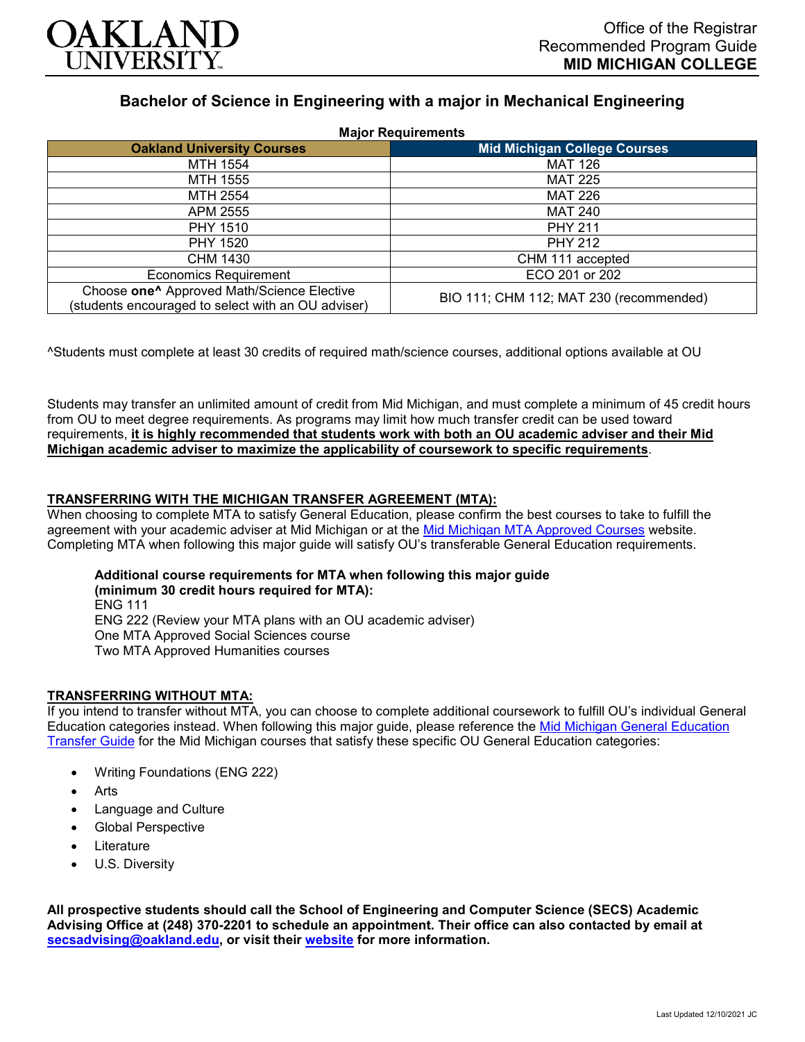

# **Bachelor of Science in Engineering with a major in Mechanical Engineering**

| <b>Major Requirements</b>                                                                                    |                                         |
|--------------------------------------------------------------------------------------------------------------|-----------------------------------------|
| <b>Oakland University Courses</b>                                                                            | <b>Mid Michigan College Courses</b>     |
| MTH 1554                                                                                                     | <b>MAT 126</b>                          |
| MTH 1555                                                                                                     | <b>MAT 225</b>                          |
| MTH 2554                                                                                                     | <b>MAT 226</b>                          |
| APM 2555                                                                                                     | <b>MAT 240</b>                          |
| <b>PHY 1510</b>                                                                                              | <b>PHY 211</b>                          |
| PHY 1520                                                                                                     | <b>PHY 212</b>                          |
| CHM 1430                                                                                                     | CHM 111 accepted                        |
| <b>Economics Requirement</b>                                                                                 | ECO 201 or 202                          |
| Choose one <sup>^</sup> Approved Math/Science Elective<br>(students encouraged to select with an OU adviser) | BIO 111; CHM 112; MAT 230 (recommended) |

^Students must complete at least 30 credits of required math/science courses, additional options available at OU

Students may transfer an unlimited amount of credit from Mid Michigan, and must complete a minimum of 45 credit hours from OU to meet degree requirements. As programs may limit how much transfer credit can be used toward requirements, **it is highly recommended that students work with both an OU academic adviser and their Mid Michigan academic adviser to maximize the applicability of coursework to specific requirements**.

## **TRANSFERRING WITH THE MICHIGAN TRANSFER AGREEMENT (MTA):**

When choosing to complete MTA to satisfy General Education, please confirm the best courses to take to fulfill the agreement with your academic adviser at Mid Michigan or at the [Mid Michigan MTA Approved Courses](https://www.midmich.edu/academics/transfer/mta) website. Completing MTA when following this major guide will satisfy OU's transferable General Education requirements.

**Additional course requirements for MTA when following this major guide (minimum 30 credit hours required for MTA):** ENG 111 ENG 222 (Review your MTA plans with an OU academic adviser) One MTA Approved Social Sciences course Two MTA Approved Humanities courses

## **TRANSFERRING WITHOUT MTA:**

If you intend to transfer without MTA, you can choose to complete additional coursework to fulfill OU's individual General Education categories instead. When following this major guide, please reference the [Mid Michigan General Education](https://www.oakland.edu/Assets/Oakland/program-guides/mid-michigan-community-college/university-general-education-requirements/Mid%20Michigan%20Gen%20Ed.pdf)  [Transfer Guide](https://www.oakland.edu/Assets/Oakland/program-guides/mid-michigan-community-college/university-general-education-requirements/Mid%20Michigan%20Gen%20Ed.pdf) for the Mid Michigan courses that satisfy these specific OU General Education categories:

- Writing Foundations (ENG 222)
- **Arts**
- Language and Culture
- Global Perspective
- **Literature**
- U.S. Diversity

**All prospective students should call the School of Engineering and Computer Science (SECS) Academic Advising Office at (248) 370-2201 to schedule an appointment. Their office can also contacted by email at [secsadvising@oakland.edu,](mailto:secsadvising@oakland.edu) or visit their [website](https://wwwp.oakland.edu/secs/advising/) for more information.**